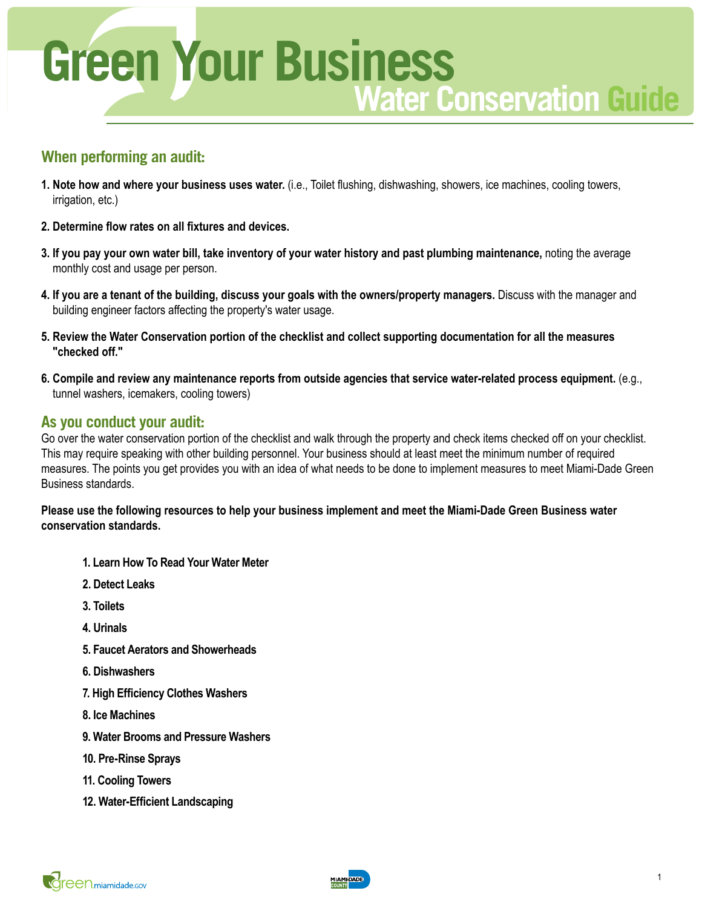

# **When performing an audit:**

- **1. Note how and where your business uses water.** (i.e., Toilet flushing, dishwashing, showers, ice machines, cooling towers, irrigation, etc.)
- **2. Determine flow rates on all fixtures and devices.**
- **3. If you pay your own water bill, take inventory of your water history and past plumbing maintenance,** noting the average monthly cost and usage per person.
- **4. If you are a tenant of the building, discuss your goals with the owners/property managers.** Discuss with the manager and building engineer factors affecting the property's water usage.
- **5. Review the Water Conservation portion of the checklist and collect supporting documentation for all the measures "checked off."**
- **6. Compile and review any maintenance reports from outside agencies that service water-related process equipment.** (e.g., tunnel washers, icemakers, cooling towers)

# **As you conduct your audit:**

Go over the water conservation portion of the checklist and walk through the property and check items checked off on your checklist. This may require speaking with other building personnel. Your business should at least meet the minimum number of required measures. The points you get provides you with an idea of what needs to be done to implement measures to meet Miami-Dade Green Business standards.

**Please use the following resources to help your business implement and meet the Miami-Dade Green Business water conservation standards.**

- **1. Learn How To Read Your Water Meter**
- **2. Detect Leaks**
- **3. Toilets**
- **4. Urinals**
- **5. Faucet Aerators and Showerheads**
- **6. Dishwashers**
- **7. High Efficiency Clothes Washers**
- **8. Ice Machines**
- **9. Water Brooms and Pressure Washers**
- **10. Pre-Rinse Sprays**
- **11. Cooling Towers**
- **12. Water-Efficient Landscaping**

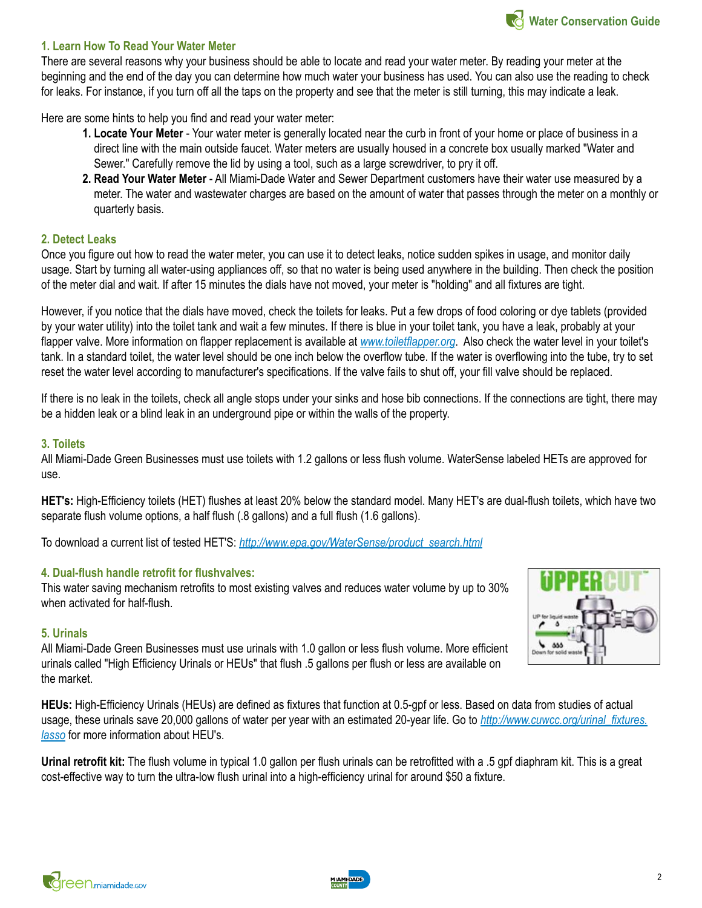### **1. Learn How To Read Your Water Meter**

There are several reasons why your business should be able to locate and read your water meter. By reading your meter at the beginning and the end of the day you can determine how much water your business has used. You can also use the reading to check for leaks. For instance, if you turn off all the taps on the property and see that the meter is still turning, this may indicate a leak.

Here are some hints to help you find and read your water meter:

- **1. Locate Your Meter**  Your water meter is generally located near the curb in front of your home or place of business in a direct line with the main outside faucet. Water meters are usually housed in a concrete box usually marked "Water and Sewer." Carefully remove the lid by using a tool, such as a large screwdriver, to pry it off.
- **2. Read Your Water Meter** All Miami-Dade Water and Sewer Department customers have their water use measured by a meter. The water and wastewater charges are based on the amount of water that passes through the meter on a monthly or quarterly basis.

### **2. Detect Leaks**

Once you figure out how to read the water meter, you can use it to detect leaks, notice sudden spikes in usage, and monitor daily usage. Start by turning all water-using appliances off, so that no water is being used anywhere in the building. Then check the position of the meter dial and wait. If after 15 minutes the dials have not moved, your meter is "holding" and all fixtures are tight.

However, if you notice that the dials have moved, check the toilets for leaks. Put a few drops of food coloring or dye tablets (provided by your water utility) into the toilet tank and wait a few minutes. If there is blue in your toilet tank, you have a leak, probably at your flapper valve. More information on flapper replacement is available at *[www.toiletflapper.org](http://www.toiletflapper.org/)*. Also check the water level in your toilet's tank. In a standard toilet, the water level should be one inch below the overflow tube. If the water is overflowing into the tube, try to set reset the water level according to manufacturer's specifications. If the valve fails to shut off, your fill valve should be replaced.

If there is no leak in the toilets, check all angle stops under your sinks and hose bib connections. If the connections are tight, there may be a hidden leak or a blind leak in an underground pipe or within the walls of the property.

#### **3. Toilets**

All Miami-Dade Green Businesses must use toilets with 1.2 gallons or less flush volume. WaterSense labeled HETs are approved for use.

**HET's:** High-Efficiency toilets (HET) flushes at least 20% below the standard model. Many HET's are dual-flush toilets, which have two separate flush volume options, a half flush (.8 gallons) and a full flush (1.6 gallons).

To download a current list of tested HET'S: *[http://www.epa.gov/WaterSense/product\\_search.html](http://www.epa.gov/WaterSense/product_search.html)*

#### **4. Dual-flush handle retrofit for flushvalves:**

This water saving mechanism retrofits to most existing valves and reduces water volume by up to 30% when activated for half-flush.

#### **5. Urinals**

All Miami-Dade Green Businesses must use urinals with 1.0 gallon or less flush volume. More efficient urinals called "High Efficiency Urinals or HEUs" that flush .5 gallons per flush or less are available on the market.

**HEUs:** High-Efficiency Urinals (HEUs) are defined as fixtures that function at 0.5-gpf or less. Based on data from studies of actual usage, these urinals save 20,000 gallons of water per year with an estimated 20-year life. Go to *[http://www.cuwcc.org/urinal\\_fixtures.](http://www.cuwcc.org/products/urinal-fixtures-main.aspx) [lasso](http://www.cuwcc.org/products/urinal-fixtures-main.aspx)* for more information about HEU's.

**Urinal retrofit kit:** The flush volume in typical 1.0 gallon per flush urinals can be retrofitted with a .5 gpf diaphram kit. This is a great cost-effective way to turn the ultra-low flush urinal into a high-efficiency urinal for around \$50 a fixture.



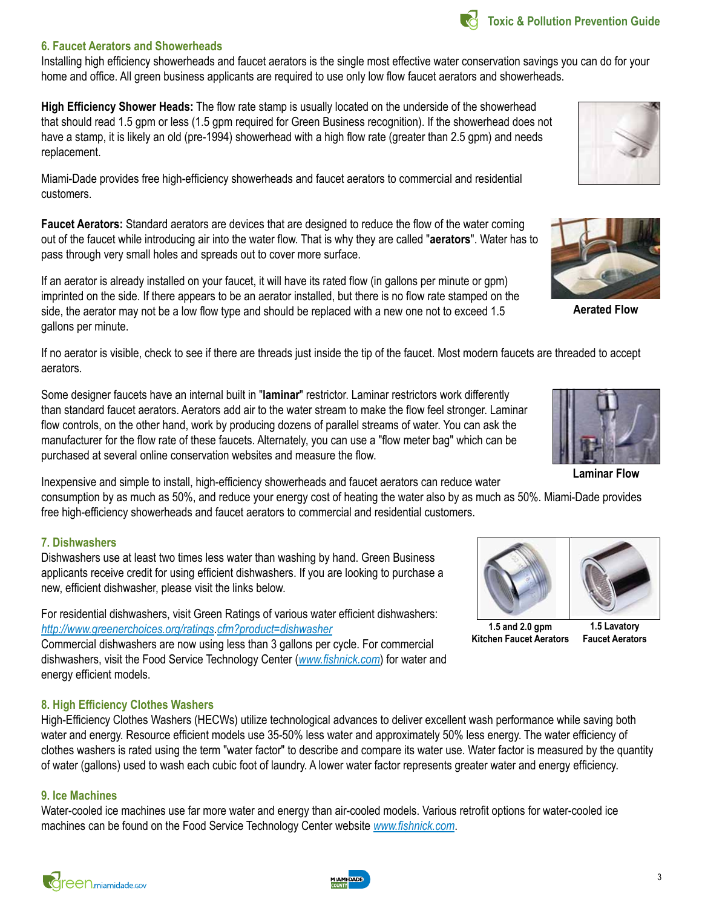# **6. Faucet Aerators and Showerheads**

Installing high efficiency showerheads and faucet aerators is the single most effective water conservation savings you can do for your home and office. All green business applicants are required to use only low flow faucet aerators and showerheads.

**High Efficiency Shower Heads:** The flow rate stamp is usually located on the underside of the showerhead that should read 1.5 gpm or less (1.5 gpm required for Green Business recognition). If the showerhead does not have a stamp, it is likely an old (pre-1994) showerhead with a high flow rate (greater than 2.5 gpm) and needs replacement.

Miami-Dade provides free high-efficiency showerheads and faucet aerators to commercial and residential customers.

**Faucet Aerators:** Standard aerators are devices that are designed to reduce the flow of the water coming out of the faucet while introducing air into the water flow. That is why they are called "**aerators**". Water has to pass through very small holes and spreads out to cover more surface.

If an aerator is already installed on your faucet, it will have its rated flow (in gallons per minute or gpm) imprinted on the side. If there appears to be an aerator installed, but there is no flow rate stamped on the side, the aerator may not be a low flow type and should be replaced with a new one not to exceed 1.5 gallons per minute.

If no aerator is visible, check to see if there are threads just inside the tip of the faucet. Most modern faucets are threaded to accept aerators.

Some designer faucets have an internal built in "**laminar**" restrictor. Laminar restrictors work differently than standard faucet aerators. Aerators add air to the water stream to make the flow feel stronger. Laminar flow controls, on the other hand, work by producing dozens of parallel streams of water. You can ask the manufacturer for the flow rate of these faucets. Alternately, you can use a "flow meter bag" which can be purchased at several online conservation websites and measure the flow.

Inexpensive and simple to install, high-efficiency showerheads and faucet aerators can reduce water consumption by as much as 50%, and reduce your energy cost of heating the water also by as much as 50%. Miami-Dade provides

free high-efficiency showerheads and faucet aerators to commercial and residential customers.

# **7. Dishwashers**

Dishwashers use at least two times less water than washing by hand. Green Business applicants receive credit for using efficient dishwashers. If you are looking to purchase a new, efficient dishwasher, please visit the links below.

For residential dishwashers, visit Green Ratings of various water efficient dishwashers: *[http://www.greenerchoices.org/ratings](http://www.greenerchoices.org/ratings.cfm?product=dishwasher)*.*cfm?product=dishwasher*

Commercial dishwashers are now using less than 3 gallons per cycle. For commercial dishwashers, visit the Food Service Technology Center (*[www.fishnick.com](http://www.fishnick.com/)*) for water and energy efficient models.

## **8. High Efficiency Clothes Washers**

High-Efficiency Clothes Washers (HECWs) utilize technological advances to deliver excellent wash performance while saving both water and energy. Resource efficient models use 35-50% less water and approximately 50% less energy. The water efficiency of clothes washers is rated using the term "water factor" to describe and compare its water use. Water factor is measured by the quantity of water (gallons) used to wash each cubic foot of laundry. A lower water factor represents greater water and energy efficiency.

### **9. Ice Machines**

Water-cooled ice machines use far more water and energy than air-cooled models. Various retrofit options for water-cooled ice machines can be found on the Food Service Technology Center website *[www.fishnick.com](http://www.fishnick.com/)*.



**Aerated Flow**

**Laminar Flow**



**1.5 and 2.0 gpm Kitchen Faucet Aerators**

**1.5 Lavatory Faucet Aerators**